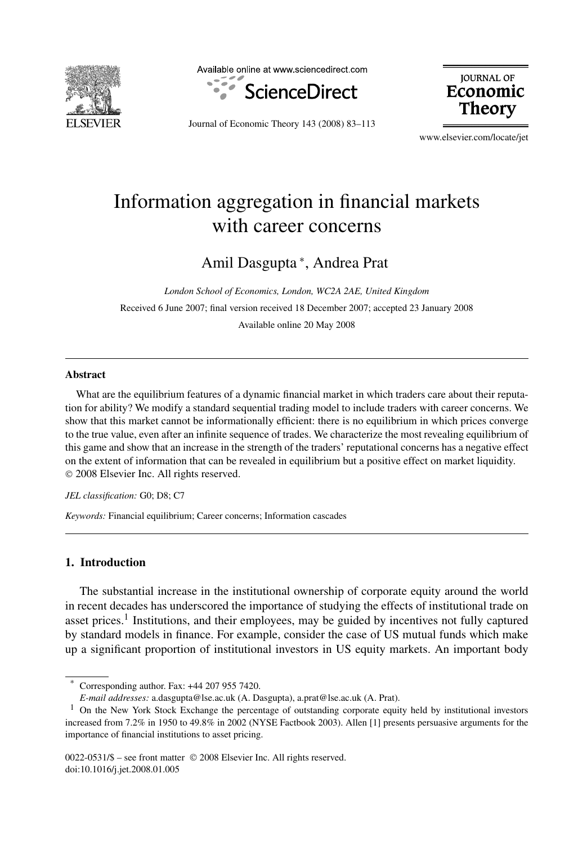

Available online at www.sciencedirect.com



**JOURNAL OF** Economic **Theory** 

Journal of Economic Theory 143 (2008) 83–113

www.elsevier.com/locate/jet

# Information aggregation in financial markets with career concerns

Amil Dasgupta <sup>∗</sup> , Andrea Prat

*London School of Economics, London, WC2A 2AE, United Kingdom* Received 6 June 2007; final version received 18 December 2007; accepted 23 January 2008 Available online 20 May 2008

#### **Abstract**

What are the equilibrium features of a dynamic financial market in which traders care about their reputation for ability? We modify a standard sequential trading model to include traders with career concerns. We show that this market cannot be informationally efficient: there is no equilibrium in which prices converge to the true value, even after an infinite sequence of trades. We characterize the most revealing equilibrium of this game and show that an increase in the strength of the traders' reputational concerns has a negative effect on the extent of information that can be revealed in equilibrium but a positive effect on market liquidity. © 2008 Elsevier Inc. All rights reserved.

*JEL classification:* G0; D8; C7

*Keywords:* Financial equilibrium; Career concerns; Information cascades

## **1. Introduction**

The substantial increase in the institutional ownership of corporate equity around the world in recent decades has underscored the importance of studying the effects of institutional trade on asset prices.<sup>1</sup> Institutions, and their employees, may be guided by incentives not fully captured by standard models in finance. For example, consider the case of US mutual funds which make up a significant proportion of institutional investors in US equity markets. An important body

Corresponding author. Fax: +44 207 955 7420.

*E-mail addresses:* a.dasgupta@lse.ac.uk (A. Dasgupta), a.prat@lse.ac.uk (A. Prat).

<sup>&</sup>lt;sup>1</sup> On the New York Stock Exchange the percentage of outstanding corporate equity held by institutional investors increased from 7.2% in 1950 to 49.8% in 2002 (NYSE Factbook 2003). Allen [1] presents persuasive arguments for the importance of financial institutions to asset pricing.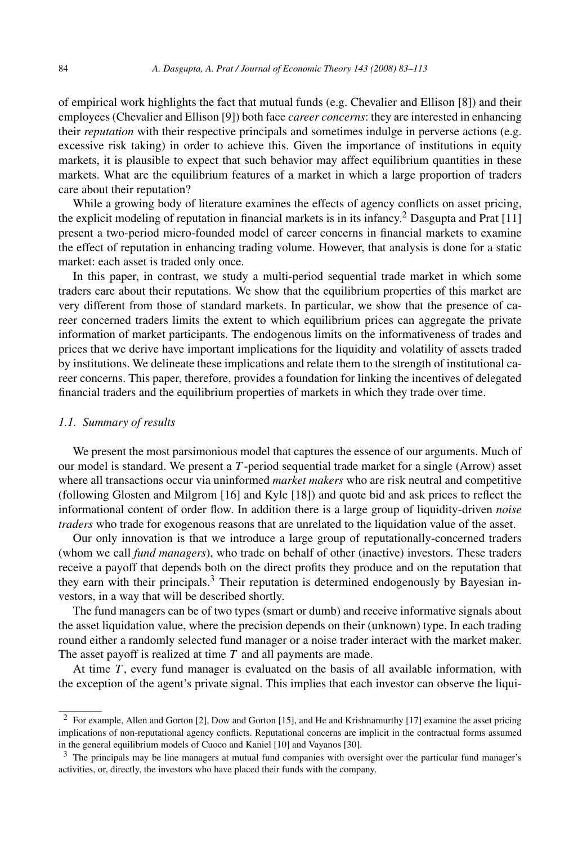of empirical work highlights the fact that mutual funds (e.g. Chevalier and Ellison [8]) and their employees (Chevalier and Ellison [9]) both face *career concerns*: they are interested in enhancing their *reputation* with their respective principals and sometimes indulge in perverse actions (e.g. excessive risk taking) in order to achieve this. Given the importance of institutions in equity markets, it is plausible to expect that such behavior may affect equilibrium quantities in these markets. What are the equilibrium features of a market in which a large proportion of traders care about their reputation?

While a growing body of literature examines the effects of agency conflicts on asset pricing, the explicit modeling of reputation in financial markets is in its infancy.<sup>2</sup> Dasgupta and Prat [11] present a two-period micro-founded model of career concerns in financial markets to examine the effect of reputation in enhancing trading volume. However, that analysis is done for a static market: each asset is traded only once.

In this paper, in contrast, we study a multi-period sequential trade market in which some traders care about their reputations. We show that the equilibrium properties of this market are very different from those of standard markets. In particular, we show that the presence of career concerned traders limits the extent to which equilibrium prices can aggregate the private information of market participants. The endogenous limits on the informativeness of trades and prices that we derive have important implications for the liquidity and volatility of assets traded by institutions. We delineate these implications and relate them to the strength of institutional career concerns. This paper, therefore, provides a foundation for linking the incentives of delegated financial traders and the equilibrium properties of markets in which they trade over time.

### *1.1. Summary of results*

We present the most parsimonious model that captures the essence of our arguments. Much of our model is standard. We present a *T* -period sequential trade market for a single (Arrow) asset where all transactions occur via uninformed *market makers* who are risk neutral and competitive (following Glosten and Milgrom [16] and Kyle [18]) and quote bid and ask prices to reflect the informational content of order flow. In addition there is a large group of liquidity-driven *noise traders* who trade for exogenous reasons that are unrelated to the liquidation value of the asset.

Our only innovation is that we introduce a large group of reputationally-concerned traders (whom we call *fund managers*), who trade on behalf of other (inactive) investors. These traders receive a payoff that depends both on the direct profits they produce and on the reputation that they earn with their principals.<sup>3</sup> Their reputation is determined endogenously by Bayesian investors, in a way that will be described shortly.

The fund managers can be of two types (smart or dumb) and receive informative signals about the asset liquidation value, where the precision depends on their (unknown) type. In each trading round either a randomly selected fund manager or a noise trader interact with the market maker. The asset payoff is realized at time *T* and all payments are made.

At time *T* , every fund manager is evaluated on the basis of all available information, with the exception of the agent's private signal. This implies that each investor can observe the liqui-

 $2$  For example, Allen and Gorton [2], Dow and Gorton [15], and He and Krishnamurthy [17] examine the asset pricing implications of non-reputational agency conflicts. Reputational concerns are implicit in the contractual forms assumed in the general equilibrium models of Cuoco and Kaniel [10] and Vayanos [30].

 $3$  The principals may be line managers at mutual fund companies with oversight over the particular fund manager's activities, or, directly, the investors who have placed their funds with the company.